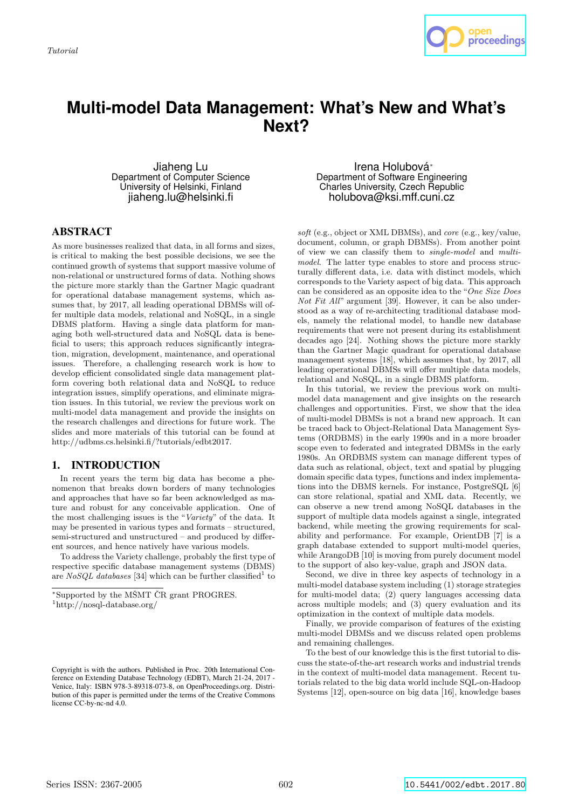

# **Multi-model Data Management: What's New and What's Next?**

Jiaheng Lu Department of Computer Science University of Helsinki, Finland jiaheng.lu@helsinki.fi

## ABSTRACT

As more businesses realized that data, in all forms and sizes, is critical to making the best possible decisions, we see the continued growth of systems that support massive volume of non-relational or unstructured forms of data. Nothing shows the picture more starkly than the Gartner Magic quadrant for operational database management systems, which assumes that, by 2017, all leading operational DBMSs will offer multiple data models, relational and NoSQL, in a single DBMS platform. Having a single data platform for managing both well-structured data and NoSQL data is beneficial to users; this approach reduces significantly integration, migration, development, maintenance, and operational issues. Therefore, a challenging research work is how to develop efficient consolidated single data management platform covering both relational data and NoSQL to reduce integration issues, simplify operations, and eliminate migration issues. In this tutorial, we review the previous work on multi-model data management and provide the insights on the research challenges and directions for future work. The slides and more materials of this tutorial can be found at http://udbms.cs.helsinki.fi/?tutorials/edbt2017.

#### 1. INTRODUCTION

In recent years the term big data has become a phenomenon that breaks down borders of many technologies and approaches that have so far been acknowledged as mature and robust for any conceivable application. One of the most challenging issues is the "Variety" of the data. It may be presented in various types and formats – structured, semi-structured and unstructured – and produced by different sources, and hence natively have various models.

To address the Variety challenge, probably the first type of respective specific database management systems (DBMS) are NoSQL databases [34] which can be further classified<sup>1</sup> to

Irena Holubová<sup>∗</sup> Department of Software Engineering Charles University, Czech Republic holubova@ksi.mff.cuni.cz

soft (e.g., object or XML DBMSs), and core (e.g., key/value, document, column, or graph DBMSs). From another point of view we can classify them to single-model and multimodel. The latter type enables to store and process structurally different data, i.e. data with distinct models, which corresponds to the Variety aspect of big data. This approach can be considered as an opposite idea to the "One Size Does Not Fit All" argument [39]. However, it can be also understood as a way of re-architecting traditional database models, namely the relational model, to handle new database requirements that were not present during its establishment decades ago [24]. Nothing shows the picture more starkly than the Gartner Magic quadrant for operational database management systems [18], which assumes that, by 2017, all leading operational DBMSs will offer multiple data models, relational and NoSQL, in a single DBMS platform.

In this tutorial, we review the previous work on multimodel data management and give insights on the research challenges and opportunities. First, we show that the idea of multi-model DBMSs is not a brand new approach. It can be traced back to Object-Relational Data Management Systems (ORDBMS) in the early 1990s and in a more broader scope even to federated and integrated DBMSs in the early 1980s. An ORDBMS system can manage different types of data such as relational, object, text and spatial by plugging domain specific data types, functions and index implementations into the DBMS kernels. For instance, PostgreSQL [6] can store relational, spatial and XML data. Recently, we can observe a new trend among NoSQL databases in the support of multiple data models against a single, integrated backend, while meeting the growing requirements for scalability and performance. For example, OrientDB [7] is a graph database extended to support multi-model queries, while ArangoDB [10] is moving from purely document model to the support of also key-value, graph and JSON data.

Second, we dive in three key aspects of technology in a multi-model database system including (1) storage strategies for multi-model data; (2) query languages accessing data across multiple models; and (3) query evaluation and its optimization in the context of multiple data models.

Finally, we provide comparison of features of the existing multi-model DBMSs and we discuss related open problems and remaining challenges.

To the best of our knowledge this is the first tutorial to discuss the state-of-the-art research works and industrial trends in the context of multi-model data management. Recent tutorials related to the big data world include SQL-on-Hadoop Systems [12], open-source on big data [16], knowledge bases

<sup>∗</sup>Supported by the MSMT ˇ CR grant PROGRES. ˇ

<sup>1</sup>http://nosql-database.org/

Copyright is with the authors. Published in Proc. 20th International Conference on Extending Database Technology (EDBT), March 21-24, 2017 - Venice, Italy: ISBN 978-3-89318-073-8, on OpenProceedings.org. Distribution of this paper is permitted under the terms of the Creative Commons license CC-by-nc-nd 4.0.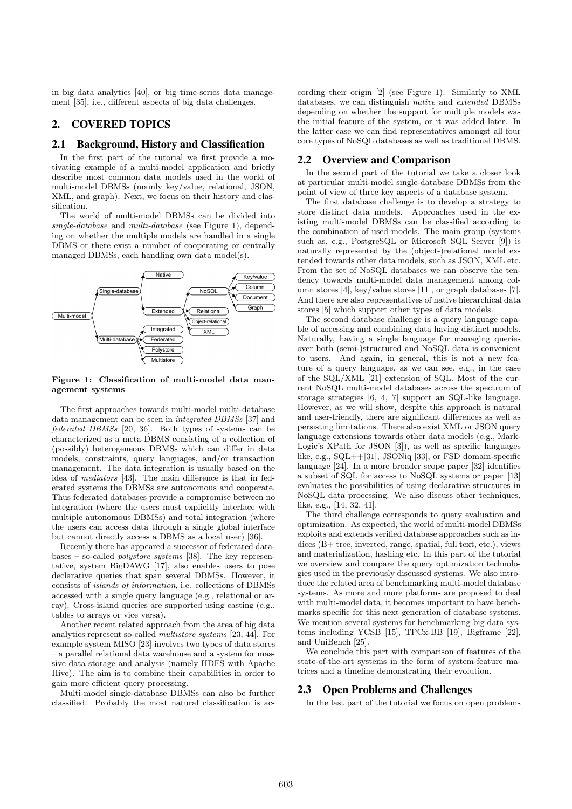in big data analytics [40], or big time-series data management [35], i.e., different aspects of big data challenges.

## 2. COVERED TOPICS

#### 2.1 Background, History and Classification

In the first part of the tutorial we first provide a motivating example of a multi-model application and briefly describe most common data models used in the world of multi-model DBMSs (mainly key/value, relational, JSON, XML, and graph). Next, we focus on their history and classification.

The world of multi-model DBMSs can be divided into single-database and multi-database (see Figure 1), depending on whether the multiple models are handled in a single DBMS or there exist a number of cooperating or centrally managed DBMSs, each handling own data model(s).



Figure 1: Classification of multi-model data management systems

The first approaches towards multi-model multi-database data management can be seen in integrated DBMSs [37] and federated DBMSs [20, 36]. Both types of systems can be characterized as a meta-DBMS consisting of a collection of (possibly) heterogeneous DBMSs which can differ in data models, constraints, query languages, and/or transaction management. The data integration is usually based on the idea of mediators [43]. The main difference is that in federated systems the DBMSs are autonomous and cooperate. Thus federated databases provide a compromise between no integration (where the users must explicitly interface with multiple autonomous DBMSs) and total integration (where the users can access data through a single global interface but cannot directly access a DBMS as a local user) [36].

Recently there has appeared a successor of federated databases – so-called polystore systems [38]. The key representative, system BigDAWG [17], also enables users to pose declarative queries that span several DBMSs. However, it consists of islands of information, i.e. collections of DBMSs accessed with a single query language (e.g., relational or array). Cross-island queries are supported using casting (e.g., tables to arrays or vice versa).

Another recent related approach from the area of big data analytics represent so-called multistore systems [23, 44]. For example system MISO [23] involves two types of data stores – a parallel relational data warehouse and a system for massive data storage and analysis (namely HDFS with Apache Hive). The aim is to combine their capabilities in order to gain more efficient query processing.

Multi-model single-database DBMSs can also be further classified. Probably the most natural classification is according their origin [2] (see Figure 1). Similarly to XML databases, we can distinguish native and extended DBMSs depending on whether the support for multiple models was the initial feature of the system, or it was added later. In the latter case we can find representatives amongst all four core types of NoSQL databases as well as traditional DBMS.

#### 2.2 Overview and Comparison

In the second part of the tutorial we take a closer look at particular multi-model single-database DBMSs from the point of view of three key aspects of a database system.

The first database challenge is to develop a strategy to store distinct data models. Approaches used in the existing multi-model DBMSs can be classified according to the combination of used models. The main group (systems such as, e.g., PostgreSQL or Microsoft SQL Server [9]) is naturally represented by the (object-)relational model extended towards other data models, such as JSON, XML etc. From the set of NoSQL databases we can observe the tendency towards multi-model data management among column stores [4], key/value stores [11], or graph databases [7]. And there are also representatives of native hierarchical data stores [5] which support other types of data models.

The second database challenge is a query language capable of accessing and combining data having distinct models. Naturally, having a single language for managing queries over both (semi-)structured and NoSQL data is convenient to users. And again, in general, this is not a new feature of a query language, as we can see, e.g., in the case of the SQL/XML [21] extension of SQL. Most of the current NoSQL multi-model databases across the spectrum of storage strategies [6, 4, 7] support an SQL-like language. However, as we will show, despite this approach is natural and user-friendly, there are significant differences as well as persisting limitations. There also exist XML or JSON query language extensions towards other data models (e.g., Mark-Logic's XPath for JSON [3]), as well as specific languages like, e.g.,  $SQL++[31]$ ,  $JSONiq$  [33], or FSD domain-specific language [24]. In a more broader scope paper [32] identifies a subset of SQL for access to NoSQL systems or paper [13] evaluates the possibilities of using declarative structures in NoSQL data processing. We also discuss other techniques, like, e.g., [14, 32, 41].

The third challenge corresponds to query evaluation and optimization. As expected, the world of multi-model DBMSs exploits and extends verified database approaches such as indices (B+ tree, inverted, range, spatial, full text, etc.), views and materialization, hashing etc. In this part of the tutorial we overview and compare the query optimization technologies used in the previously discussed systems. We also introduce the related area of benchmarking multi-model database systems. As more and more platforms are proposed to deal with multi-model data, it becomes important to have benchmarks specific for this next generation of database systems. We mention several systems for benchmarking big data systems including YCSB [15], TPCx-BB [19], Bigframe [22], and UniBench [25].

We conclude this part with comparison of features of the state-of-the-art systems in the form of system-feature matrices and a timeline demonstrating their evolution.

#### 2.3 Open Problems and Challenges

In the last part of the tutorial we focus on open problems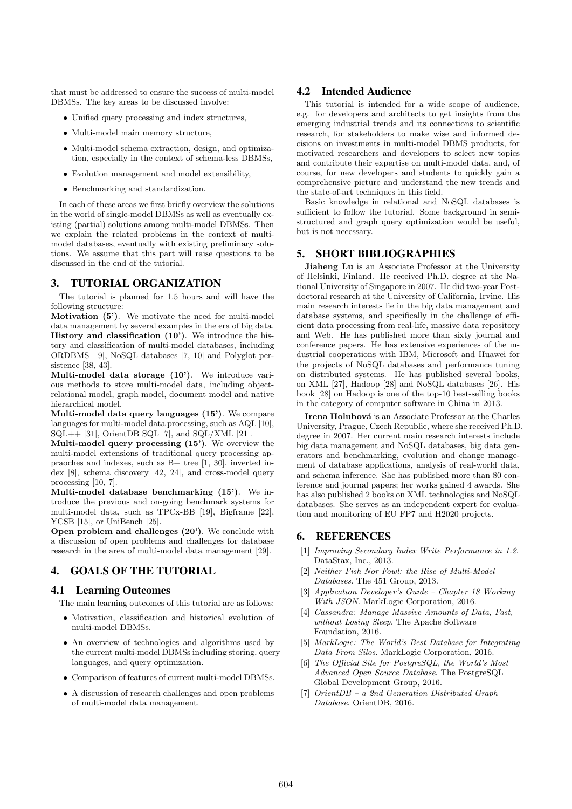that must be addressed to ensure the success of multi-model DBMSs. The key areas to be discussed involve:

- Unified query processing and index structures,
- Multi-model main memory structure,
- Multi-model schema extraction, design, and optimization, especially in the context of schema-less DBMSs,
- Evolution management and model extensibility,
- Benchmarking and standardization.

In each of these areas we first briefly overview the solutions in the world of single-model DBMSs as well as eventually existing (partial) solutions among multi-model DBMSs. Then we explain the related problems in the context of multimodel databases, eventually with existing preliminary solutions. We assume that this part will raise questions to be discussed in the end of the tutorial.

## 3. TUTORIAL ORGANIZATION

The tutorial is planned for 1.5 hours and will have the following structure:

Motivation (5'). We motivate the need for multi-model data management by several examples in the era of big data. History and classification (10'). We introduce the history and classification of multi-model databases, including ORDBMS [9], NoSQL databases [7, 10] and Polyglot persistence [38, 43].

Multi-model data storage (10'). We introduce various methods to store multi-model data, including objectrelational model, graph model, document model and native hierarchical model.

Multi-model data query languages (15'). We compare languages for multi-model data processing, such as AQL [10],  $SQL++$  [31], OrientDB SQL [7], and SQL/XML [21].

Multi-model query processing (15'). We overview the multi-model extensions of traditional query processing appraoches and indexes, such as B+ tree [1, 30], inverted index [8], schema discovery [42, 24], and cross-model query processing [10, 7].

Multi-model database benchmarking (15'). We introduce the previous and on-going benchmark systems for multi-model data, such as TPCx-BB [19], Bigframe [22], YCSB [15], or UniBench [25].

Open problem and challenges (20'). We conclude with a discussion of open problems and challenges for database research in the area of multi-model data management [29].

## 4. GOALS OF THE TUTORIAL

#### 4.1 Learning Outcomes

The main learning outcomes of this tutorial are as follows:

- Motivation, classification and historical evolution of multi-model DBMSs.
- An overview of technologies and algorithms used by the current multi-model DBMSs including storing, query languages, and query optimization.
- Comparison of features of current multi-model DBMSs.
- A discussion of research challenges and open problems of multi-model data management.

### 4.2 Intended Audience

This tutorial is intended for a wide scope of audience, e.g. for developers and architects to get insights from the emerging industrial trends and its connections to scientific research, for stakeholders to make wise and informed decisions on investments in multi-model DBMS products, for motivated researchers and developers to select new topics and contribute their expertise on multi-model data, and, of course, for new developers and students to quickly gain a comprehensive picture and understand the new trends and the state-of-art techniques in this field.

Basic knowledge in relational and NoSQL databases is sufficient to follow the tutorial. Some background in semistructured and graph query optimization would be useful, but is not necessary.

## 5. SHORT BIBLIOGRAPHIES

Jiaheng Lu is an Associate Professor at the University of Helsinki, Finland. He received Ph.D. degree at the National University of Singapore in 2007. He did two-year Postdoctoral research at the University of California, Irvine. His main research interests lie in the big data management and database systems, and specifically in the challenge of efficient data processing from real-life, massive data repository and Web. He has published more than sixty journal and conference papers. He has extensive experiences of the industrial cooperations with IBM, Microsoft and Huawei for the projects of NoSQL databases and performance tuning on distributed systems. He has published several books, on XML [27], Hadoop [28] and NoSQL databases [26]. His book [28] on Hadoop is one of the top-10 best-selling books in the category of computer software in China in 2013.

Irena Holubová is an Associate Professor at the Charles University, Prague, Czech Republic, where she received Ph.D. degree in 2007. Her current main research interests include big data management and NoSQL databases, big data generators and benchmarking, evolution and change management of database applications, analysis of real-world data, and schema inference. She has published more than 80 conference and journal papers; her works gained 4 awards. She has also published 2 books on XML technologies and NoSQL databases. She serves as an independent expert for evaluation and monitoring of EU FP7 and H2020 projects.

### 6. REFERENCES

- [1] Improving Secondary Index Write Performance in 1.2. DataStax, Inc., 2013.
- [2] Neither Fish Nor Fowl: the Rise of Multi-Model Databases. The 451 Group, 2013.
- [3] Application Developer's Guide Chapter 18 Working With JSON. MarkLogic Corporation, 2016.
- [4] Cassandra: Manage Massive Amounts of Data, Fast, without Losing Sleep. The Apache Software Foundation, 2016.
- [5] MarkLogic: The World's Best Database for Integrating Data From Silos. MarkLogic Corporation, 2016.
- [6] The Official Site for PostgreSQL, the World's Most Advanced Open Source Database. The PostgreSQL Global Development Group, 2016.
- [7] OrientDB a 2nd Generation Distributed Graph Database. OrientDB, 2016.